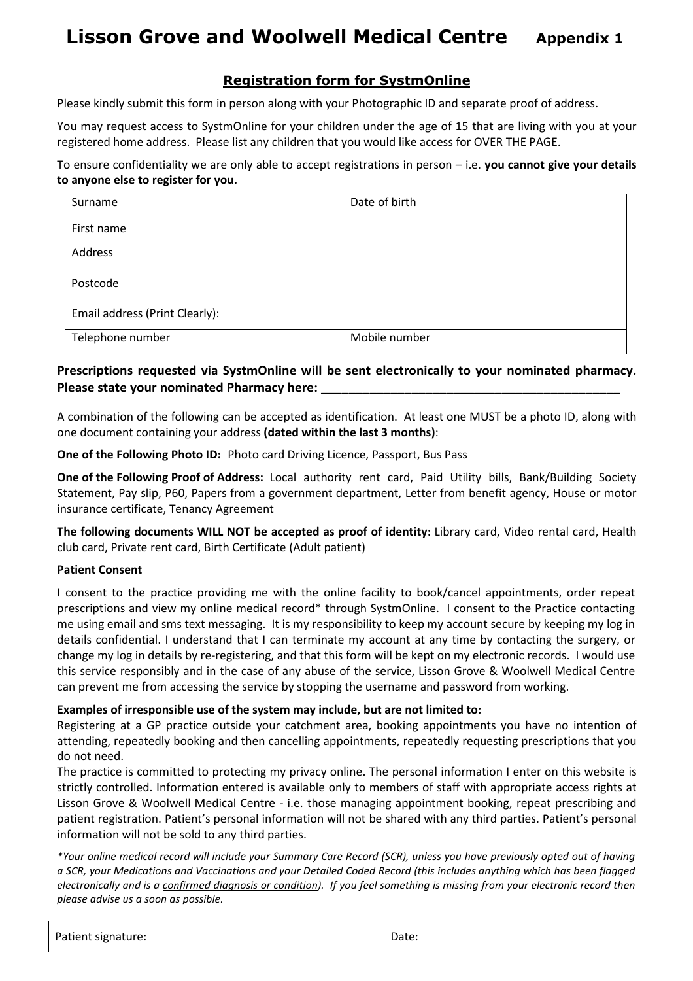# **Lisson Grove and Woolwell Medical Centre** Appendix 1

## **Registration form for SystmOnline**

Please kindly submit this form in person along with your Photographic ID and separate proof of address.

You may request access to SystmOnline for your children under the age of 15 that are living with you at your registered home address. Please list any children that you would like access for OVER THE PAGE.

To ensure confidentiality we are only able to accept registrations in person – i.e. **you cannot give your details to anyone else to register for you.** 

| Surname                        | Date of birth |
|--------------------------------|---------------|
| First name                     |               |
| Address                        |               |
| Postcode                       |               |
| Email address (Print Clearly): |               |
| Telephone number               | Mobile number |

### **Prescriptions requested via SystmOnline will be sent electronically to your nominated pharmacy.**  Please state your nominated Pharmacy here:

A combination of the following can be accepted as identification. At least one MUST be a photo ID, along with one document containing your address **(dated within the last 3 months)**:

**One of the Following Photo ID:** Photo card Driving Licence, Passport, Bus Pass

**One of the Following Proof of Address:** Local authority rent card, Paid Utility bills, Bank/Building Society Statement, Pay slip, P60, Papers from a government department, Letter from benefit agency, House or motor insurance certificate, Tenancy Agreement

**The following documents WILL NOT be accepted as proof of identity:** Library card, Video rental card, Health club card, Private rent card, Birth Certificate (Adult patient)

#### **Patient Consent**

I consent to the practice providing me with the online facility to book/cancel appointments, order repeat prescriptions and view my online medical record\* through SystmOnline. I consent to the Practice contacting me using email and sms text messaging. It is my responsibility to keep my account secure by keeping my log in details confidential. I understand that I can terminate my account at any time by contacting the surgery, or change my log in details by re-registering, and that this form will be kept on my electronic records. I would use this service responsibly and in the case of any abuse of the service, Lisson Grove & Woolwell Medical Centre can prevent me from accessing the service by stopping the username and password from working.

#### **Examples of irresponsible use of the system may include, but are not limited to:**

Registering at a GP practice outside your catchment area, booking appointments you have no intention of attending, repeatedly booking and then cancelling appointments, repeatedly requesting prescriptions that you do not need.

The practice is committed to protecting my privacy online. The personal information I enter on this website is strictly controlled. Information entered is available only to members of staff with appropriate access rights at Lisson Grove & Woolwell Medical Centre - i.e. those managing appointment booking, repeat prescribing and patient registration. Patient's personal information will not be shared with any third parties. Patient's personal information will not be sold to any third parties.

*\*Your online medical record will include your Summary Care Record (SCR), unless you have previously opted out of having a SCR, your Medications and Vaccinations and your Detailed Coded Record (this includes anything which has been flagged electronically and is a confirmed diagnosis or condition). If you feel something is missing from your electronic record then please advise us a soon as possible.* 

| Patient signature: | Date: |
|--------------------|-------|
|                    |       |